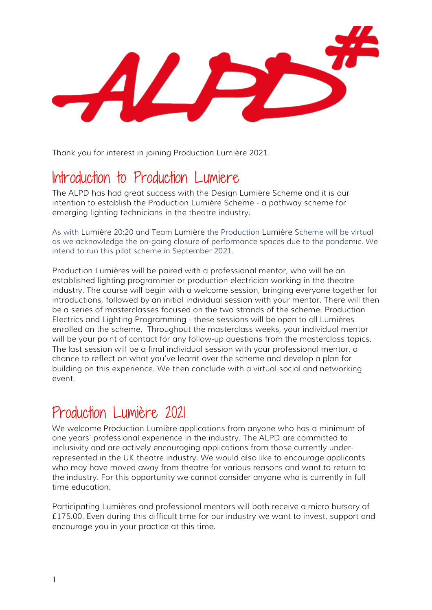Thank you for interest in joining Production Lumière 2021.

## Introduction to Production Lumiere

The ALPD has had great success with the Design Lumière Scheme and it is our intention to establish the Production Lumière Scheme - a pathway scheme for emerging lighting technicians in the theatre industry.

As with Lumière 20:20 and Team Lumière the Production Lumière Scheme will be virtual as we acknowledge the on-going closure of performance spaces due to the pandemic. We intend to run this pilot scheme in September 2021.

Production Lumières will be paired with a professional mentor, who will be an established lighting programmer or production electrician working in the theatre industry. The course will begin with a welcome session, bringing everyone together for introductions, followed by an initial individual session with your mentor. There will then be a series of masterclasses focused on the two strands of the scheme: Production Electrics and Lighting Programming - these sessions will be open to all Lumières enrolled on the scheme. Throughout the masterclass weeks, your individual mentor will be your point of contact for any follow-up questions from the masterclass topics. The last session will be a final individual session with your professional mentor, a chance to reflect on what you've learnt over the scheme and develop a plan for building on this experience. We then conclude with a virtual social and networking event.

## Production Lumière 2021

We welcome Production Lumière applications from anyone who has a minimum of one years' professional experience in the industry. The ALPD are committed to inclusivity and are actively encouraging applications from those currently underrepresented in the UK theatre industry. We would also like to encourage applicants who may have moved away from theatre for various reasons and want to return to the industry. For this opportunity we cannot consider anyone who is currently in full time education.

Participating Lumières and professional mentors will both receive a micro bursary of £175.00. Even during this difficult time for our industry we want to invest, support and encourage you in your practice at this time.